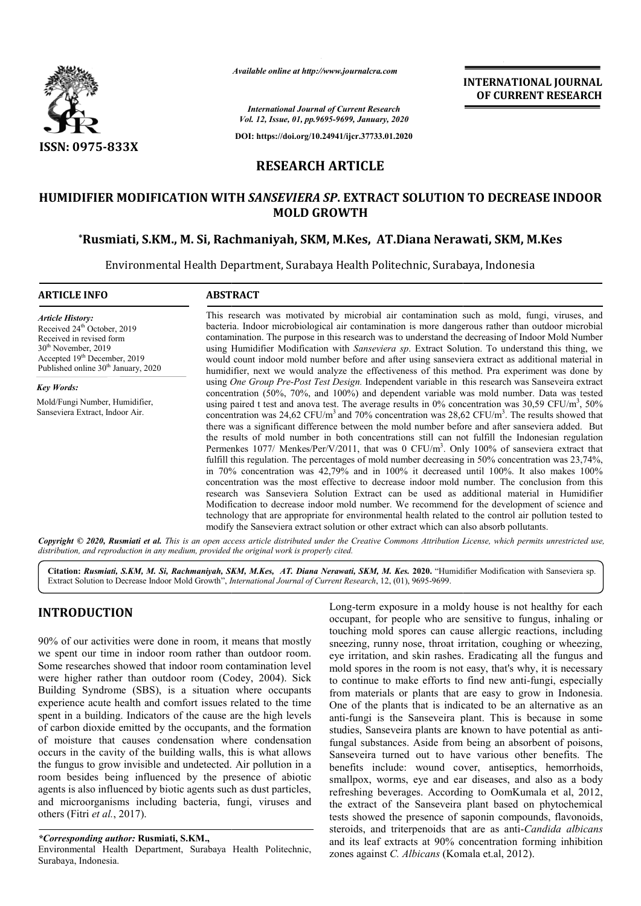

*Available online at http://www.journalcra.com*

**INTERNATIONAL JOURNAL OF CURRENT RESEARCH**

*International Journal of Current Research Vol. 12, Issue, 01, pp.9695-9699, January, 2020*

**DOI: https://doi.org/10.24941/ijcr.37733.01.2020**

# **RESEARCH ARTICLE**

# **HUMIDIFIER MODIFICATION WITH**  *SANSEVIERA SP***. EXTRACT SOLUTION TO DECREASE INDOOR \*Rusmiati, S.KM., M. Si, Rachmaniyah, SKM, M.Kes, AT.Diana Nerawati . Nerawati, SKM, M.Kes MOLD GROWTH**

Environmental Health Department, Surabaya Health Politechnic, Surabaya, Indonesia Health Politechnic, Surabaya,

#### **ARTICLE INFO ABSTRACT**

*Article History:* Received 24<sup>th</sup> October, 2019 Received in revised form 30<sup>th</sup> November, 2019 Accepted 19<sup>th</sup> December, 2019 Published online 30<sup>th</sup> January, 2020

*Key Words:* Mold/Fungi Number, Humidifier, Sanseviera Extract, Indoor Air.

This research was motivated by microbial air contamination such as mold, fungi, viruses, and bacteria. Indoor microbiological air contamination is more dangerous rather than outdoor microbial contamination. The purpose in this research was to understand the decreasing of Indoor Mold Number using Humidifier Modification with *Sanseviera sp*. Extract Solution. To understand this thing, we would count indoor mold number before and after using sanseviera extract as additional material in humidifier, next we would analyze the effectiveness of this method. using *One Group Pre Pre-Post Test Design.* Independent variable in this research was Sanseveira extract using One Group Pre-Post Test Design. Independent variable in this research was Sanseveira extract concentration (50%, 70%, and 100%) and dependent variable was mold number. Data was tested using paired t test and anova test. The average results in 0% concentration was 30,59 CFU/m<sup>3</sup>, 50% concentration was 24,62 CFU/m<sup>3</sup> and 70% concentration was 28,62 CFU/m<sup>3</sup>. The results showed that there was a significant difference between the mold number before and after sanseviera added. But the results of mold number in both concentrations still can not fulfill the Indonesian regulation Permenkes 1077/ Menkes/Per/V/2011, that was 0 CFU/m<sup>3</sup>. Only 100% of sanseviera extract that fulfill this regulation. The percentages of mold number decreasing in 50% concentration was 23,74%, in 70% concentration was 42,79% and in 100% it decreased until 100%. It also makes 100% concentration was the most effective to decrease indoor mold number. The conclusion from this research was Sanseviera Solution Extract can be used as additional material in Humidifier Modification to decrease indoor mold number. We recommend for the development of science and research was Sanseviera Solution Extract can be used as additional material in Humidifier<br>Modification to decrease indoor mold number. We recomment for the development of science and<br>technology that are appropriate for env modify the Sanseviera extract solution or other extract which can also absorb pollutants. This research was motivated by microbial air contamination such as mold, fungi, viruses, and bacteria. Indoor microbiological air contamination is more dangerous rather than outdoor microbial contamination. The purpose in there was a significant difference between the mold number before and after sanseviera added. But<br>the results of mold number in both concentrations still can not fulfill the Indonesian regulation<br>Permenkes 1077/ Menkes/Pe

Copyright © 2020, Rusmiati et al. This is an open access article distributed under the Creative Commons Attribution License, which permits unrestricted use, *distribution, and reproduction in any medium, provided the original work is properly cited.*

Citation: Rusmiati, S.KM, M. Si, Rachmaniyah, SKM, M.Kes, AT. Diana Nerawati, SKM, M. Kes. 2020. "Humidifier Modification with Sanseviera sp. Extract Solution to Decrease Indoor Mold Growth", *International Journal of Current Research*, 12, (01), 9695-9699.

# **INTRODUCTION**

90% of our activities were done in room, it means that mostly we spent our time in indoor room rather than outdoor room. Some researches showed that indoor room contamination level were higher rather than outdoor room (Codey, 2004). Sick Building Syndrome (SBS), is a situation where occupants experience acute health and comfort issues related to the time spent in a building. Indicators of the cause are the high levels of carbon dioxide emitted by the occupants, and the formation of moisture that causes condensation where condensation occurs in the cavity of the building walls, this is what allows the fungus to grow invisible and undetected. Air pollution in a room besides being influenced by the presence of abiotic agents is also influenced by biotic agents such as dust particles, and microorganisms including bacteria, fungi, viruses and others (Fitri *et al.*, 2017).

*\*Corresponding author:* **Rusmiati, S.KM.,** 

Environmental Health Department, Surabaya Health Politechnic, Surabaya, Indonesia.

Long-term exposure in a moldy house is not healthy for each<br>
occupant, for people who are sensitive to fungus, inhelaing or<br>
occupant, for people who are sensitive to fungus, inhelaing<br>
or on rather than outdoor room.<br>
occ occupant, for people who are sensitive to fungus, inhaling or touching mold spores can cause allergic reactions, including sneezing, runny nose, throat irritation, coughing or wheezing, eye irritation, and skin rashes. Eradicating all the fungus and mold spores in the room is not easy, that's why, it is necessary mold spores in the room is not easy, that's why, it is necessary<br>to continue to make efforts to find new anti-fungi, especially from materials or plants that are easy to grow in Indonesia. One of the plants that is indicated to be an alternative as an anti-fungi is the Sanseveira plant. This is because in some studies, Sanseveira plants are known to have potential as anti fungal substances. Aside from being an absorbent of poisons, Sanseveira turned out to have various other benefits. The benefits include: wound cover, antiseptics, hemorrhoids, smallpox, worms, eye and ear diseases, and also as a body refreshing beverages. According to OomKumala et the extract of the Sanseveira plant based on phytochemical tests showed the presence of saponin compounds, flavonoids, tests showed the presence of saponin compounds, flavonoids, steroids, and triterpenoids that are as anti-*Candida albicans* and its leaf extracts at 90% concentration forming inhibition zones against *C. Albicans* (Komala et.al, 2012). Long-term exposure in a moldy house is not healthy for each occupant, for people who are sensitive to fungus, inhaling or touching mold spores can cause allergic reactions, including sneezing, runny nose, throat irritation In materials or plants that are easy to grow in Indonesia.<br>
of the plants that is indicated to be an alternative as an<br>
fungi is the Sanseveira plant. This is because in some<br>
lies, Sanseveira plants are known to have pote e from being an absorbent of poisons,<br>to have various other benefits. The<br>md cover, antiseptics, hemorrhoids,<br>and ear diseases, and also as a body<br>according to OomKumala et al, 2012, **INTERNATIONAL JOURNAL FORM CONTROL CONSUMPARENT (CONSUMPARENT PRESERVATIONAL JOURNAL CONSUMPARENT OF COURRENT RESERVATION OF CURRENT RESERVATION (F1378)**  $\epsilon$ **1978)**  $\epsilon$ **1978)**  $\epsilon$ **1978)**  $\epsilon$ **1978)**  $\epsilon$ **1978)**  $\epsilon$ **1978)**  $\epsilon$ **1978**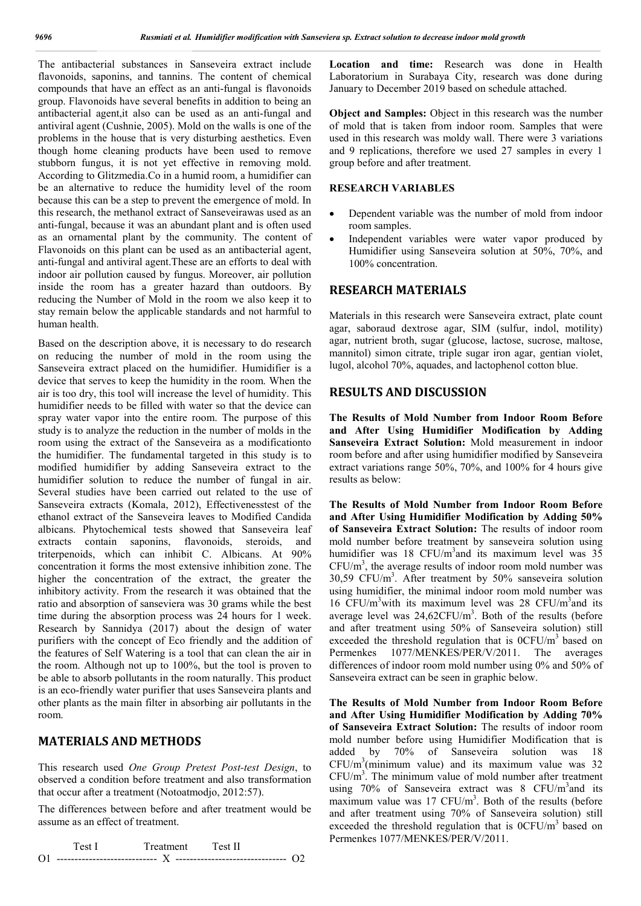The antibacterial substances in Sanseveira extract include flavonoids, saponins, and tannins. The content of chemical compounds that have an effect as an anti-fungal is flavonoids group. Flavonoids have several benefits in addition to being an antibacterial agent,it also can be used as an anti-fungal and antiviral agent (Cushnie, 2005). Mold on the walls is one of the problems in the house that is very disturbing aesthetics. Even though home cleaning products have been used to remove stubborn fungus, it is not yet effective in removing mold. According to Glitzmedia.Co in a humid room, a humidifier can be an alternative to reduce the humidity level of the room because this can be a step to prevent the emergence of mold. In this research, the methanol extract of Sanseveirawas used as an anti-fungal, because it was an abundant plant and is often used as an ornamental plant by the community. The content of Flavonoids on this plant can be used as an antibacterial agent, anti-fungal and antiviral agent.These are an efforts to deal with indoor air pollution caused by fungus. Moreover, air pollution inside the room has a greater hazard than outdoors. By reducing the Number of Mold in the room we also keep it to stay remain below the applicable standards and not harmful to human health.

Based on the description above, it is necessary to do research on reducing the number of mold in the room using the Sanseveira extract placed on the humidifier. Humidifier is a device that serves to keep the humidity in the room. When the air is too dry, this tool will increase the level of humidity. This humidifier needs to be filled with water so that the device can spray water vapor into the entire room. The purpose of this study is to analyze the reduction in the number of molds in the room using the extract of the Sanseveira as a modificationto the humidifier. The fundamental targeted in this study is to modified humidifier by adding Sanseveira extract to the humidifier solution to reduce the number of fungal in air. Several studies have been carried out related to the use of Sanseveira extracts (Komala, 2012), Effectivenesstest of the ethanol extract of the Sanseveira leaves to Modified Candida albicans. Phytochemical tests showed that Sanseveira leaf extracts contain saponins, flavonoids, steroids, and triterpenoids, which can inhibit C. Albicans. At 90% concentration it forms the most extensive inhibition zone. The higher the concentration of the extract, the greater the inhibitory activity. From the research it was obtained that the ratio and absorption of sanseviera was 30 grams while the best time during the absorption process was 24 hours for 1 week. Research by Sannidya (2017) about the design of water purifiers with the concept of Eco friendly and the addition of the features of Self Watering is a tool that can clean the air in the room. Although not up to 100%, but the tool is proven to be able to absorb pollutants in the room naturally. This product is an eco-friendly water purifier that uses Sanseveira plants and other plants as the main filter in absorbing air pollutants in the room.

### **MATERIALS AND METHODS**

This research used *One Group Pretest Post-test Design*, to observed a condition before treatment and also transformation that occur after a treatment (Notoatmodjo, 2012:57).

The differences between before and after treatment would be assume as an effect of treatment.

Test I Treatment Test II O1 ---------------------------- X ------------------------------- O2 **Location and time:** Research was done in Health Laboratorium in Surabaya City, research was done during January to December 2019 based on schedule attached.

**Object and Samples:** Object in this research was the number of mold that is taken from indoor room. Samples that were used in this research was moldy wall. There were 3 variations and 9 replications, therefore we used 27 samples in every 1 group before and after treatment.

### **RESEARCH VARIABLES**

- Dependent variable was the number of mold from indoor room samples.
- Independent variables were water vapor produced by Humidifier using Sanseveira solution at 50%, 70%, and 100% concentration.

## **RESEARCH MATERIALS**

Materials in this research were Sanseveira extract, plate count agar, saboraud dextrose agar, SIM (sulfur, indol, motility) agar, nutrient broth, sugar (glucose, lactose, sucrose, maltose, mannitol) simon citrate, triple sugar iron agar, gentian violet, lugol, alcohol 70%, aquades, and lactophenol cotton blue.

#### **RESULTS AND DISCUSSION**

**The Results of Mold Number from Indoor Room Before and After Using Humidifier Modification by Adding Sanseveira Extract Solution:** Mold measurement in indoor room before and after using humidifier modified by Sanseveira extract variations range 50%, 70%, and 100% for 4 hours give results as below:

**The Results of Mold Number from Indoor Room Before and After Using Humidifier Modification by Adding 50% of Sanseveira Extract Solution:** The results of indoor room mold number before treatment by sanseveira solution using humidifier was 18 CFU/ $m<sup>3</sup>$  and its maximum level was 35  $CFU/m<sup>3</sup>$ , the average results of indoor room mold number was 30,59 CFU/m3 . After treatment by 50% sanseveira solution using humidifier, the minimal indoor room mold number was 16 CFU/m<sup>3</sup>with its maximum level was 28 CFU/m<sup>3</sup> and its average level was  $24,62$ CFU/m<sup>3</sup>. Both of the results (before and after treatment using 50% of Sanseveira solution) still exceeded the threshold regulation that is  $0CFU/m<sup>3</sup>$  based on Permenkes 1077/MENKES/PER/V/2011. The averages differences of indoor room mold number using 0% and 50% of Sanseveira extract can be seen in graphic below.

**The Results of Mold Number from Indoor Room Before and After Using Humidifier Modification by Adding 70% of Sanseveira Extract Solution:** The results of indoor room mold number before using Humidifier Modification that is added by 70% of Sanseveira solution was 18  $CFU/m<sup>3</sup>(minimum value)$  and its maximum value was 32  $CFU/m<sup>3</sup>$ . The minimum value of mold number after treatment using 70% of Sanseveira extract was 8 CFU/m<sup>3</sup> and its maximum value was  $17 \text{ CFU/m}^3$ . Both of the results (before and after treatment using 70% of Sanseveira solution) still exceeded the threshold regulation that is  $0CFU/m<sup>3</sup>$  based on Permenkes 1077/MENKES/PER/V/2011.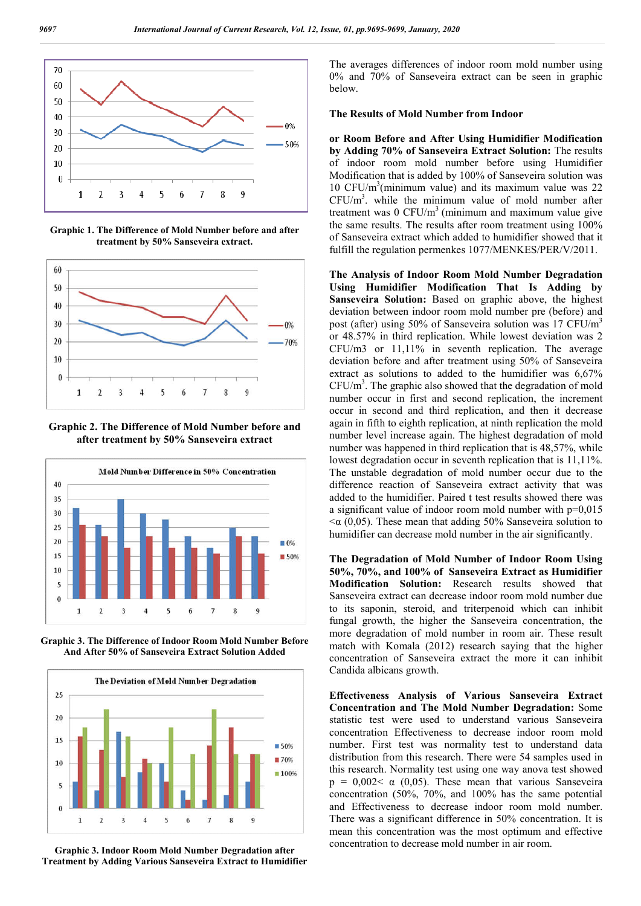

**Graphic 1. The Difference of Mold Number before and after treatment by 50% Sanseveira extract.**



**Graphic 2. The Difference of Mold Number before and after treatment by 50% Sanseveira extract**



**Graphic 3. The Difference of Indoor Room Mold Number Before And After 50% of Sanseveira Extract Solution Added**



**Graphic 3. Indoor Room Mold Number Degradation after Treatment by Adding Various Sanseveira Extract to Humidifier**

The averages differences of indoor room mold number using 0% and 70% of Sanseveira extract can be seen in graphic below.

#### **The Results of Mold Number from Indoor**

**or Room Before and After Using Humidifier Modification by Adding 70% of Sanseveira Extract Solution:** The results of indoor room mold number before using Humidifier Modification that is added by 100% of Sanseveira solution was 10 CFU/ $m<sup>3</sup>$ (minimum value) and its maximum value was 22  $CFU/m<sup>3</sup>$ . while the minimum value of mold number after treatment was  $0 \text{ CFU/m}^3$  (minimum and maximum value give the same results. The results after room treatment using 100% of Sanseveira extract which added to humidifier showed that it fulfill the regulation permenkes 1077/MENKES/PER/V/2011.

**The Analysis of Indoor Room Mold Number Degradation Using Humidifier Modification That Is Adding by Sanseveira Solution:** Based on graphic above, the highest deviation between indoor room mold number pre (before) and post (after) using 50% of Sanseveira solution was 17  $CFU/m<sup>3</sup>$ or 48.57% in third replication. While lowest deviation was 2 CFU/m3 or 11,11% in seventh replication. The average deviation before and after treatment using 50% of Sanseveira extract as solutions to added to the humidifier was 6,67%  $CFU/m<sup>3</sup>$ . The graphic also showed that the degradation of mold number occur in first and second replication, the increment occur in second and third replication, and then it decrease again in fifth to eighth replication, at ninth replication the mold number level increase again. The highest degradation of mold number was happened in third replication that is 48,57%, while lowest degradation occur in seventh replication that is 11,11%. The unstable degradation of mold number occur due to the difference reaction of Sanseveira extract activity that was added to the humidifier. Paired t test results showed there was a significant value of indoor room mold number with  $p=0.015$  $\alpha$  (0,05). These mean that adding 50% Sanseveira solution to humidifier can decrease mold number in the air significantly.

**The Degradation of Mold Number of Indoor Room Using 50%, 70%, and 100% of Sanseveira Extract as Humidifier Modification Solution:** Research results showed that Sanseveira extract can decrease indoor room mold number due to its saponin, steroid, and triterpenoid which can inhibit fungal growth, the higher the Sanseveira concentration, the more degradation of mold number in room air. These result match with Komala (2012) research saying that the higher concentration of Sanseveira extract the more it can inhibit Candida albicans growth.

**Effectiveness Analysis of Various Sanseveira Extract Concentration and The Mold Number Degradation:** Some statistic test were used to understand various Sanseveira concentration Effectiveness to decrease indoor room mold number. First test was normality test to understand data distribution from this research. There were 54 samples used in this research. Normality test using one way anova test showed  $p = 0.002  $\alpha$  (0.05). These mean that various Sanseveira$ concentration (50%, 70%, and 100% has the same potential and Effectiveness to decrease indoor room mold number. There was a significant difference in 50% concentration. It is mean this concentration was the most optimum and effective concentration to decrease mold number in air room.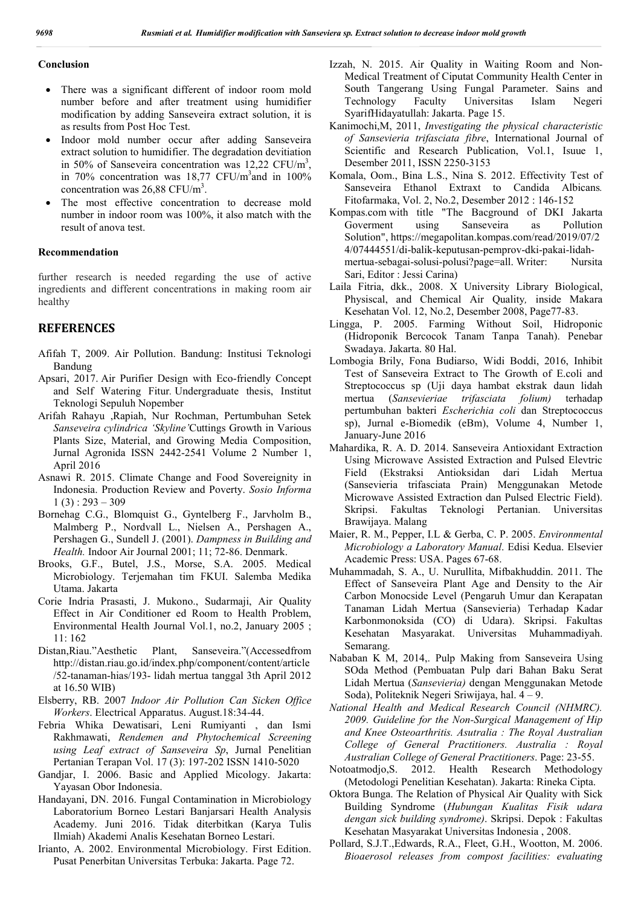#### **Conclusion**

- There was a significant different of indoor room mold number before and after treatment using humidifier modification by adding Sanseveira extract solution, it is as results from Post Hoc Test.
- Indoor mold number occur after adding Sanseveira extract solution to humidifier. The degradation devitiation in 50% of Sanseveira concentration was  $12,22 \text{ CFU/m}^3$ , in 70% concentration was 18,77 CFU/m<sup>3</sup> and in 100% concentration was  $26,88$  CFU/m<sup>3</sup>.
- The most effective concentration to decrease mold number in indoor room was 100%, it also match with the result of anova test.

### **Recommendation**

further research is needed regarding the use of active ingredients and different concentrations in making room air healthy

# **REFERENCES**

- Afifah T, 2009. Air Pollution. Bandung: Institusi Teknologi Bandung
- Apsari, 2017. Air Purifier Design with Eco-friendly Concept and Self Watering Fitur*.* Undergraduate thesis, Institut Teknologi Sepuluh Nopember
- Arifah Rahayu ,Rapiah, Nur Rochman, Pertumbuhan Setek *Sanseveira cylindrica 'Skyline'*Cuttings Growth in Various Plants Size, Material, and Growing Media Composition, Jurnal Agronida ISSN 2442-2541 Volume 2 Number 1, April 2016
- Asnawi R. 2015. Climate Change and Food Sovereignity in Indonesia. Production Review and Poverty. *Sosio Informa*   $1(3): 293 - 309$
- Bornehag C.G., Blomquist G., Gyntelberg F., Jarvholm B., Malmberg P., Nordvall L., Nielsen A., Pershagen A., Pershagen G., Sundell J. (2001). *Dampness in Building and Health.* Indoor Air Journal 2001; 11; 72-86. Denmark.
- Brooks, G.F., Butel, J.S., Morse, S.A. 2005. Medical Microbiology. Terjemahan tim FKUI. Salemba Medika Utama. Jakarta
- Corie Indria Prasasti, J. Mukono., Sudarmaji, Air Quality Effect in Air Conditioner ed Room to Health Problem, Environmental Health Journal Vol.1, no.2, January 2005 ; 11: 162
- Distan,Riau."Aesthetic Plant, Sanseveira."(Accessedfrom http://distan.riau.go.id/index.php/component/content/article /52-tanaman-hias/193- lidah mertua tanggal 3th April 2012 at 16.50 WIB)
- Elsberry, RB. 2007 *Indoor Air Pollution Can Sicken Office Workers*. Electrical Apparatus. August.18:34-44.
- Febria Whika Dewatisari, Leni Rumiyanti , dan Ismi Rakhmawati, *Rendemen and Phytochemical Screening using Leaf extract of Sanseveira Sp*, Jurnal Penelitian Pertanian Terapan Vol. 17 (3): 197-202 ISSN 1410-5020
- Gandjar, I. 2006. Basic and Applied Micology. Jakarta: Yayasan Obor Indonesia.
- Handayani, DN. 2016. Fungal Contamination in Microbiology Laboratorium Borneo Lestari Banjarsari Health Analysis Academy. Juni 2016. Tidak diterbitkan (Karya Tulis Ilmiah) Akademi Analis Kesehatan Borneo Lestari.
- Irianto, A. 2002. Environmental Microbiology. First Edition. Pusat Penerbitan Universitas Terbuka: Jakarta. Page 72.
- Izzah, N. 2015. Air Quality in Waiting Room and Non-Medical Treatment of Ciputat Community Health Center in South Tangerang Using Fungal Parameter. Sains and Technology Faculty Universitas Islam Negeri SyarifHidayatullah: Jakarta. Page 15.
- Kanimochi,M, 2011, *Investigating the physical characteristic of Sansevieria trifasciata fibre*, International Journal of Scientific and Research Publication, Vol.1, Isuue 1, Desember 2011, ISSN 2250-3153
- Komala, Oom., Bina L.S., Nina S. 2012. Effectivity Test of Sanseveira Ethanol Extraxt to Candida Albicans*.* Fitofarmaka, Vol. 2, No.2, Desember 2012 : 146-152
- Kompas.com with title "The Bacground of DKI Jakarta Goverment using Sanseveira as Pollution Solution", https://megapolitan.kompas.com/read/2019/07/2 4/07444551/di-balik-keputusan-pemprov-dki-pakai-lidahmertua-sebagai-solusi-polusi?page=all. Writer: Nursita Sari, Editor : Jessi Carina)
- Laila Fitria, dkk., 2008. X University Library Biological, Physiscal, and Chemical Air Quality*,* inside Makara Kesehatan Vol. 12, No.2, Desember 2008, Page77-83.
- Lingga, P. 2005. Farming Without Soil, Hidroponic (Hidroponik Bercocok Tanam Tanpa Tanah). Penebar Swadaya. Jakarta. 80 Hal.
- Lombogia Brily, Fona Budiarso, Widi Boddi, 2016, Inhibit Test of Sanseveira Extract to The Growth of E.coli and Streptococcus sp (Uji daya hambat ekstrak daun lidah mertua (*Sansevieriae trifasciata folium)* terhadap pertumbuhan bakteri *Escherichia coli* dan Streptococcus sp), Jurnal e-Biomedik (eBm), Volume 4, Number 1, January-June 2016
- Mahardika, R. A. D. 2014. Sanseveira Antioxidant Extraction Using Microwave Assisted Extraction and Pulsed Elevtric Field (Ekstraksi Antioksidan dari Lidah Mertua (Sansevieria trifasciata Prain) Menggunakan Metode Microwave Assisted Extraction dan Pulsed Electric Field). Skripsi. Fakultas Teknologi Pertanian. Universitas Brawijaya. Malang
- Maier, R. M., Pepper, I.L & Gerba, C. P. 2005. *Environmental Microbiology a Laboratory Manual*. Edisi Kedua. Elsevier Academic Press: USA. Pages 67-68.
- Muhammadah, S. A., U. Nurullita, Mifbakhuddin. 2011. The Effect of Sanseveira Plant Age and Density to the Air Carbon Monocside Level (Pengaruh Umur dan Kerapatan Tanaman Lidah Mertua (Sansevieria) Terhadap Kadar Karbonmonoksida (CO) di Udara). Skripsi. Fakultas Kesehatan Masyarakat. Universitas Muhammadiyah. Semarang.
- Nababan K M, 2014,. Pulp Making from Sanseveira Using SOda Method (Pembuatan Pulp dari Bahan Baku Serat Lidah Mertua (*Sansevieria)* dengan Menggunakan Metode Soda), Politeknik Negeri Sriwijaya, hal. 4 – 9.
- *National Health and Medical Research Council (NHMRC). 2009. Guideline for the Non-Surgical Management of Hip and Knee Osteoarthritis. Asutralia : The Royal Australian College of General Practitioners. Australia : Royal Australian College of General Practitioners*. Page: 23-55.
- Notoatmodjo,S. 2012. Health Research Methodology (Metodologi Penelitian Kesehatan). Jakarta: Rineka Cipta.
- Oktora Bunga. The Relation of Physical Air Quality with Sick Building Syndrome (*Hubungan Kualitas Fisik udara dengan sick building syndrome)*. Skripsi. Depok : Fakultas Kesehatan Masyarakat Universitas Indonesia , 2008.
- Pollard, S.J.T.,Edwards, R.A., Fleet, G.H., Wootton, M. 2006. *Bioaerosol releases from compost facilities: evaluating*